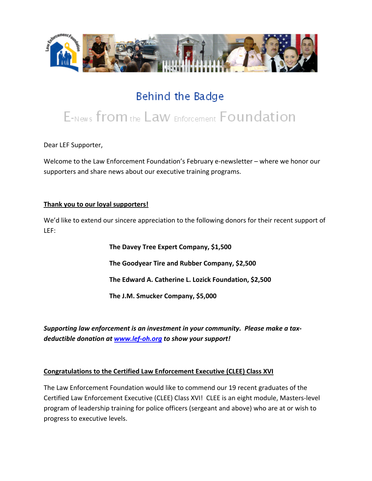

## Behind the Badge

# E-News from the Law Enforcement Foundation

Dear LEF Supporter,

Welcome to the Law Enforcement Foundation's February e-newsletter – where we honor our supporters and share news about our executive training programs.

#### **Thank you to our loyal supporters!**

We'd like to extend our sincere appreciation to the following donors for their recent support of LEF:

> **The Davey Tree Expert Company, \$1,500 The Goodyear Tire and Rubber Company, \$2,500 The Edward A. Catherine L. Lozick Foundation, \$2,500 The J.M. Smucker Company, \$5,000**

*Supporting law enforcement is an investment in your community. Please make a taxdeductible donation at [www.lef-oh.org](http://www.lef-oh.org/) to show your support!*

#### **Congratulations to the Certified Law Enforcement Executive (CLEE) Class XVI**

The Law Enforcement Foundation would like to commend our 19 recent graduates of the Certified Law Enforcement Executive (CLEE) Class XVI! CLEE is an eight module, Masters-level program of leadership training for police officers (sergeant and above) who are at or wish to progress to executive levels.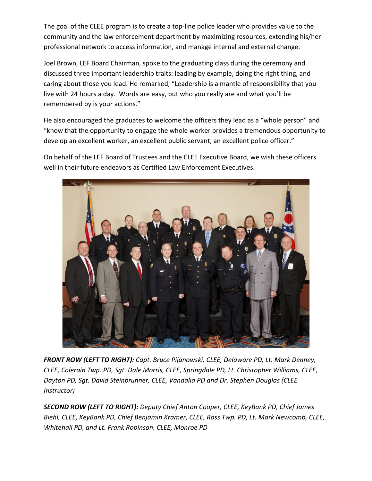The goal of the CLEE program is to create a top-line police leader who provides value to the community and the law enforcement department by maximizing resources, extending his/her professional network to access information, and manage internal and external change.

Joel Brown, LEF Board Chairman, spoke to the graduating class during the ceremony and discussed three important leadership traits: leading by example, doing the right thing, and caring about those you lead. He remarked, "Leadership is a mantle of responsibility that you live with 24 hours a day. Words are easy, but who you really are and what you'll be remembered by is your actions."

He also encouraged the graduates to welcome the officers they lead as a "whole person" and "know that the opportunity to engage the whole worker provides a tremendous opportunity to develop an excellent worker, an excellent public servant, an excellent police officer."

On behalf of the LEF Board of Trustees and the CLEE Executive Board, we wish these officers well in their future endeavors as Certified Law Enforcement Executives.



*FRONT ROW (LEFT TO RIGHT): Capt. Bruce Pijanowski, CLEE, Delaware PD, Lt. Mark Denney, CLEE, Colerain Twp. PD, Sgt. Dale Morris, CLEE, Springdale PD, Lt. Christopher Williams, CLEE, Dayton PD, Sgt. David Steinbrunner, CLEE, Vandalia PD and Dr. Stephen Douglas (CLEE Instructor)*

*SECOND ROW (LEFT TO RIGHT): Deputy Chief Anton Cooper, CLEE, KeyBank PD, Chief James Biehl, CLEE, KeyBank PD, Chief Benjamin Kramer, CLEE, Ross Twp. PD, Lt. Mark Newcomb, CLEE, Whitehall PD, and Lt. Frank Robinson, CLEE, Monroe PD*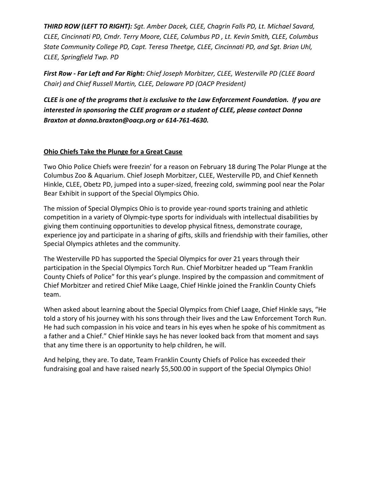*THIRD ROW (LEFT TO RIGHT): Sgt. Amber Dacek, CLEE, Chagrin Falls PD, Lt. Michael Savard, CLEE, Cincinnati PD, Cmdr. Terry Moore, CLEE, Columbus PD , Lt. Kevin Smith, CLEE, Columbus State Community College PD, Capt. Teresa Theetge, CLEE, Cincinnati PD, and Sgt. Brian Uhl, CLEE, Springfield Twp. PD*

*First Row - Far Left and Far Right: Chief Joseph Morbitzer, CLEE, Westerville PD (CLEE Board Chair) and Chief Russell Martin, CLEE, Delaware PD (OACP President)*

*CLEE is one of the programs that is exclusive to the Law Enforcement Foundation. If you are interested in sponsoring the CLEE program or a student of CLEE, please contact Donna Braxton at donna.braxton@oacp.org or 614-761-4630.*

## **Ohio Chiefs Take the Plunge for a Great Cause**

Two Ohio Police Chiefs were freezin' for a reason on February 18 during The Polar Plunge at the Columbus Zoo & Aquarium. Chief Joseph Morbitzer, CLEE, Westerville PD, and Chief Kenneth Hinkle, CLEE, Obetz PD, jumped into a super-sized, freezing cold, swimming pool near the Polar Bear Exhibit in support of the Special Olympics Ohio.

The mission of Special Olympics Ohio is to provide year-round sports training and athletic competition in a variety of Olympic-type sports for individuals with intellectual disabilities by giving them continuing opportunities to develop physical fitness, demonstrate courage, experience joy and participate in a sharing of gifts, skills and friendship with their families, other Special Olympics athletes and the community.

The Westerville PD has supported the Special Olympics for over 21 years through their participation in the Special Olympics Torch Run. Chief Morbitzer headed up "Team Franklin County Chiefs of Police" for this year's plunge. Inspired by the compassion and commitment of Chief Morbitzer and retired Chief Mike Laage, Chief Hinkle joined the Franklin County Chiefs team.

When asked about learning about the Special Olympics from Chief Laage, Chief Hinkle says, "He told a story of his journey with his sons through their lives and the Law Enforcement Torch Run. He had such compassion in his voice and tears in his eyes when he spoke of his commitment as a father and a Chief." Chief Hinkle says he has never looked back from that moment and says that any time there is an opportunity to help children, he will.

And helping, they are. To date, Team Franklin County Chiefs of Police has exceeded their fundraising goal and have raised nearly \$5,500.00 in support of the Special Olympics Ohio!